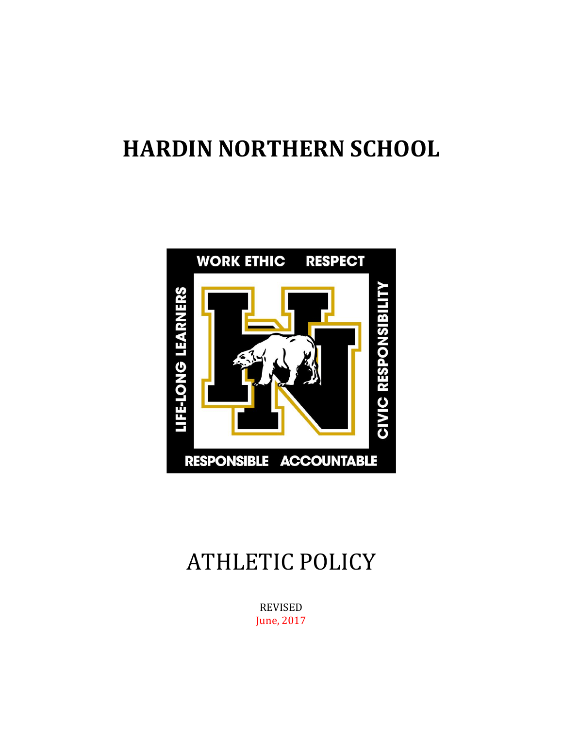# **HARDIN NORTHERN SCHOOL**



# ATHLETIC POLICY

REVISED June, 2017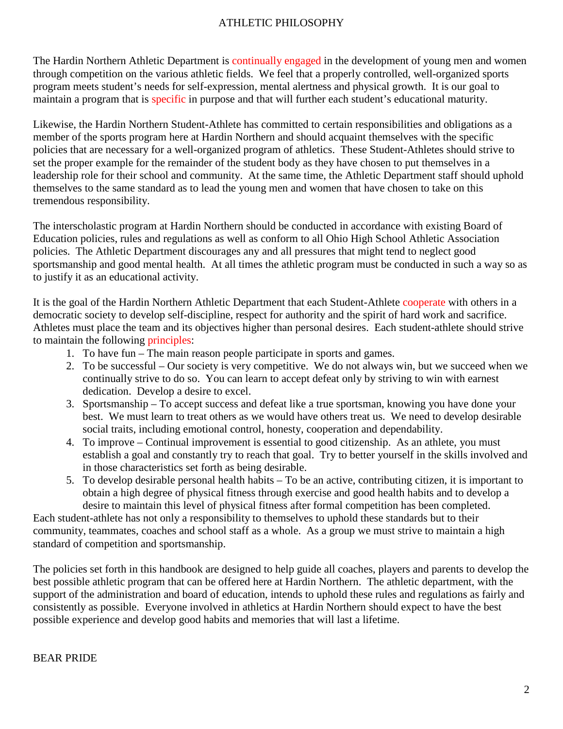# ATHLETIC PHILOSOPHY

The Hardin Northern Athletic Department is continually engaged in the development of young men and women through competition on the various athletic fields. We feel that a properly controlled, well-organized sports program meets student's needs for self-expression, mental alertness and physical growth. It is our goal to maintain a program that is specific in purpose and that will further each student's educational maturity.

Likewise, the Hardin Northern Student-Athlete has committed to certain responsibilities and obligations as a member of the sports program here at Hardin Northern and should acquaint themselves with the specific policies that are necessary for a well-organized program of athletics. These Student-Athletes should strive to set the proper example for the remainder of the student body as they have chosen to put themselves in a leadership role for their school and community. At the same time, the Athletic Department staff should uphold themselves to the same standard as to lead the young men and women that have chosen to take on this tremendous responsibility.

The interscholastic program at Hardin Northern should be conducted in accordance with existing Board of Education policies, rules and regulations as well as conform to all Ohio High School Athletic Association policies. The Athletic Department discourages any and all pressures that might tend to neglect good sportsmanship and good mental health. At all times the athletic program must be conducted in such a way so as to justify it as an educational activity.

It is the goal of the Hardin Northern Athletic Department that each Student-Athlete cooperate with others in a democratic society to develop self-discipline, respect for authority and the spirit of hard work and sacrifice. Athletes must place the team and its objectives higher than personal desires. Each student-athlete should strive to maintain the following principles:

- 1. To have fun The main reason people participate in sports and games.
- 2. To be successful Our society is very competitive. We do not always win, but we succeed when we continually strive to do so. You can learn to accept defeat only by striving to win with earnest dedication. Develop a desire to excel.
- 3. Sportsmanship To accept success and defeat like a true sportsman, knowing you have done your best. We must learn to treat others as we would have others treat us. We need to develop desirable social traits, including emotional control, honesty, cooperation and dependability.
- 4. To improve Continual improvement is essential to good citizenship. As an athlete, you must establish a goal and constantly try to reach that goal. Try to better yourself in the skills involved and in those characteristics set forth as being desirable.
- 5. To develop desirable personal health habits To be an active, contributing citizen, it is important to obtain a high degree of physical fitness through exercise and good health habits and to develop a desire to maintain this level of physical fitness after formal competition has been completed.

Each student-athlete has not only a responsibility to themselves to uphold these standards but to their community, teammates, coaches and school staff as a whole. As a group we must strive to maintain a high standard of competition and sportsmanship.

The policies set forth in this handbook are designed to help guide all coaches, players and parents to develop the best possible athletic program that can be offered here at Hardin Northern. The athletic department, with the support of the administration and board of education, intends to uphold these rules and regulations as fairly and consistently as possible. Everyone involved in athletics at Hardin Northern should expect to have the best possible experience and develop good habits and memories that will last a lifetime.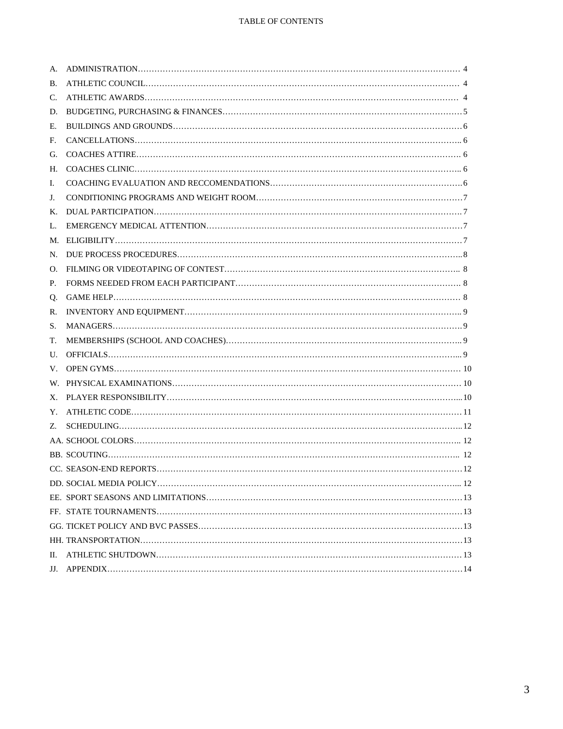| A. |  |
|----|--|
| В. |  |
| C. |  |
| D. |  |
| Е. |  |
| F. |  |
| G. |  |
|    |  |
| I. |  |
| J. |  |
| К. |  |
| L. |  |
|    |  |
|    |  |
| O. |  |
| P. |  |
|    |  |
| R. |  |
| S. |  |
| T. |  |
|    |  |
|    |  |
|    |  |
|    |  |
|    |  |
|    |  |
|    |  |
|    |  |
|    |  |
|    |  |
|    |  |
|    |  |
|    |  |
|    |  |
| П. |  |
|    |  |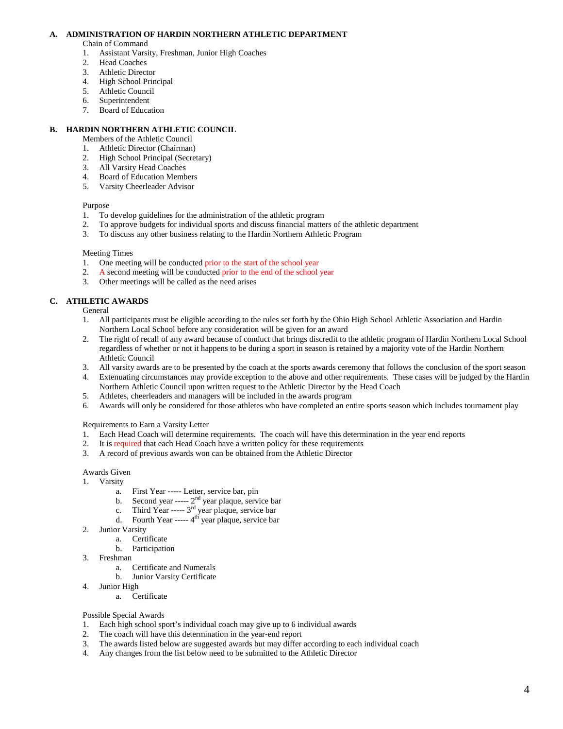#### **A. ADMINISTRATION OF HARDIN NORTHERN ATHLETIC DEPARTMENT**

Chain of Command

- 1. Assistant Varsity, Freshman, Junior High Coaches
- 2. Head Coaches<br>3. Athletic Direct
- Athletic Director
- 4. High School Principal
- 5. Athletic Council
- 6. Superintendent
- 7. Board of Education

## **B. HARDIN NORTHERN ATHLETIC COUNCIL**

- Members of the Athletic Council
- 1. Athletic Director (Chairman)
- 2. High School Principal (Secretary)
- 3. All Varsity Head Coaches
- 4. Board of Education Members
- 5. Varsity Cheerleader Advisor

#### Purpose

- 1. To develop guidelines for the administration of the athletic program
- 2. To approve budgets for individual sports and discuss financial matters of the athletic department 3. To discuss any other business relating to the Hardin Northern Athletic Program
- 3. To discuss any other business relating to the Hardin Northern Athletic Program

#### Meeting Times

- 1. One meeting will be conducted prior to the start of the school year 2. A second meeting will be conducted prior to the end of the school
- 2. A second meeting will be conducted prior to the end of the school year
- 3. Other meetings will be called as the need arises

# **C. ATHLETIC AWARDS**

**General** 

- 1. All participants must be eligible according to the rules set forth by the Ohio High School Athletic Association and Hardin Northern Local School before any consideration will be given for an award
- 2. The right of recall of any award because of conduct that brings discredit to the athletic program of Hardin Northern Local School regardless of whether or not it happens to be during a sport in season is retained by a majority vote of the Hardin Northern Athletic Council
- 3. All varsity awards are to be presented by the coach at the sports awards ceremony that follows the conclusion of the sport season
- 4. Extenuating circumstances may provide exception to the above and other requirements. These cases will be judged by the Hardin Northern Athletic Council upon written request to the Athletic Director by the Head Coach
- 5. Athletes, cheerleaders and managers will be included in the awards program
- 6. Awards will only be considered for those athletes who have completed an entire sports season which includes tournament play

## Requirements to Earn a Varsity Letter

- 1. Each Head Coach will determine requirements. The coach will have this determination in the year end reports
- 2. It is required that each Head Coach have a written policy for these requirements
- 3. A record of previous awards won can be obtained from the Athletic Director

Awards Given

- 1. Varsity
	-
	- b. Second year  $--- 2<sup>nd</sup>$  year plaque, service bar
	- a. First Year ----- Letter, service bar, pin<br>b. Second year -----  $2<sup>nd</sup>$  year plaque, service bar<br>c. Third Year -----  $3<sup>rd</sup>$  year plaque, service bar c. Third Year ----- 3<sup>rd</sup> year plaque, service bar
	- d. Fourth Year -----  $4<sup>th</sup>$  year plaque, service bar
- 2. Junior Varsity
	- a. Certificate
	- b. Participation
- 3. Freshman
	- a. Certificate and Numerals
	- b. Junior Varsity Certificate
- 4. Junior High
	- a. Certificate

#### Possible Special Awards

- 1. Each high school sport's individual coach may give up to 6 individual awards
- 2. The coach will have this determination in the year-end report
- 3. The awards listed below are suggested awards but may differ according to each individual coach
- 4. Any changes from the list below need to be submitted to the Athletic Director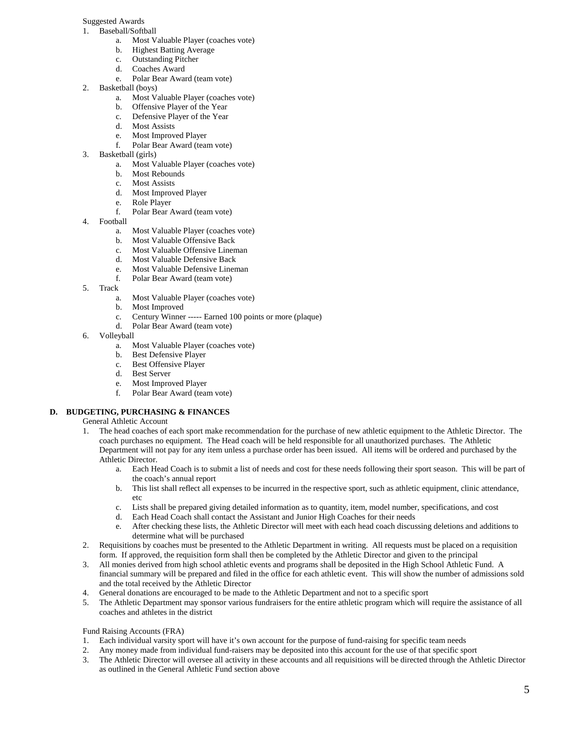#### Suggested Awards

- 1. Baseball/Softball
	- a. Most Valuable Player (coaches vote)
	- **Highest Batting Average**
	- c. Outstanding Pitcher
	- d. Coaches Award
	- e. Polar Bear Award (team vote)
- 2. Basketball (boys)
	- a. Most Valuable Player (coaches vote)
	- b. Offensive Player of the Year
	- c. Defensive Player of the Year
	- d. Most Assists
	- e. Most Improved Player<br>f. Polar Bear Award (teat
	- Polar Bear Award (team vote)
- 3. Basketball (girls)
	- a. Most Valuable Player (coaches vote)
	- b. Most Rebounds
	- c. Most Assists
	- d. Most Improved Player
	- Role Player
	- f. Polar Bear Award (team vote)
- 4. Football
	- a. Most Valuable Player (coaches vote)
	- b. Most Valuable Offensive Back
	- c. Most Valuable Offensive Lineman
	- d. Most Valuable Defensive Back
	- e. Most Valuable Defensive Lineman
	- f. Polar Bear Award (team vote)
- 5. Track
	- a. Most Valuable Player (coaches vote)
	- b. Most Improved
	- c. Century Winner ----- Earned 100 points or more (plaque)
	- d. Polar Bear Award (team vote)
- 6. Volleyball
	- a. Most Valuable Player (coaches vote)
	- b. Best Defensive Player
	- c. Best Offensive Player
	- d. Best Server
	- e. Most Improved Player
	- f. Polar Bear Award (team vote)

# **D. BUDGETING, PURCHASING & FINANCES**

General Athletic Account

- 1. The head coaches of each sport make recommendation for the purchase of new athletic equipment to the Athletic Director. The coach purchases no equipment. The Head coach will be held responsible for all unauthorized purchases. The Athletic Department will not pay for any item unless a purchase order has been issued. All items will be ordered and purchased by the Athletic Director.
	- a. Each Head Coach is to submit a list of needs and cost for these needs following their sport season. This will be part of the coach's annual report
	- b. This list shall reflect all expenses to be incurred in the respective sport, such as athletic equipment, clinic attendance, etc
	- c. Lists shall be prepared giving detailed information as to quantity, item, model number, specifications, and cost
	- d. Each Head Coach shall contact the Assistant and Junior High Coaches for their needs
	- e. After checking these lists, the Athletic Director will meet with each head coach discussing deletions and additions to determine what will be purchased
- 2. Requisitions by coaches must be presented to the Athletic Department in writing. All requests must be placed on a requisition form. If approved, the requisition form shall then be completed by the Athletic Director and given to the principal
- 3. All monies derived from high school athletic events and programs shall be deposited in the High School Athletic Fund. A financial summary will be prepared and filed in the office for each athletic event. This will show the number of admissions sold and the total received by the Athletic Director
- 4. General donations are encouraged to be made to the Athletic Department and not to a specific sport
- 5. The Athletic Department may sponsor various fundraisers for the entire athletic program which will require the assistance of all coaches and athletes in the district

Fund Raising Accounts (FRA)

- 1. Each individual varsity sport will have it's own account for the purpose of fund-raising for specific team needs
- 2. Any money made from individual fund-raisers may be deposited into this account for the use of that specific sport 3. The Athletic Director will oversee all activity in these accounts and all requisitions will be directe
- 3. The Athletic Director will oversee all activity in these accounts and all requisitions will be directed through the Athletic Director as outlined in the General Athletic Fund section above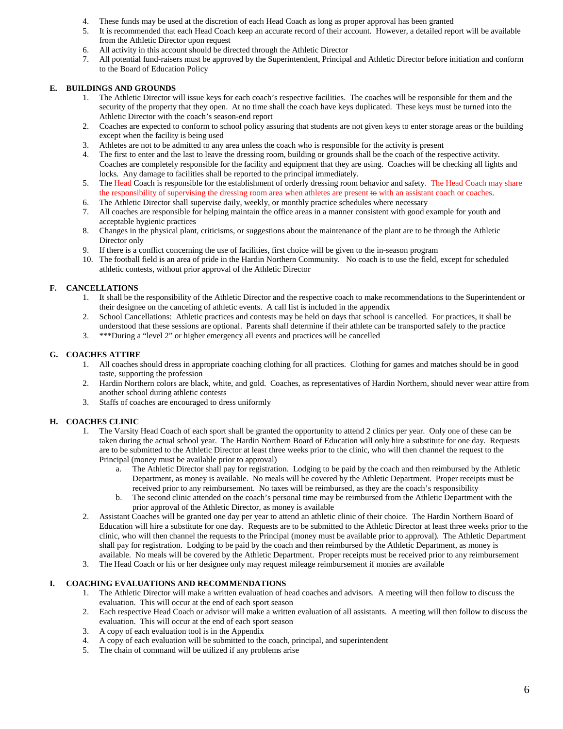- 4. These funds may be used at the discretion of each Head Coach as long as proper approval has been granted
- 5. It is recommended that each Head Coach keep an accurate record of their account. However, a detailed report will be available from the Athletic Director upon request
- 6. All activity in this account should be directed through the Athletic Director
- 7. All potential fund-raisers must be approved by the Superintendent, Principal and Athletic Director before initiation and conform to the Board of Education Policy

# **E. BUILDINGS AND GROUNDS**

- 1. The Athletic Director will issue keys for each coach's respective facilities. The coaches will be responsible for them and the security of the property that they open. At no time shall the coach have keys duplicated. These keys must be turned into the Athletic Director with the coach's season-end report
- 2. Coaches are expected to conform to school policy assuring that students are not given keys to enter storage areas or the building except when the facility is being used
- 3. Athletes are not to be admitted to any area unless the coach who is responsible for the activity is present
- 4. The first to enter and the last to leave the dressing room, building or grounds shall be the coach of the respective activity. Coaches are completely responsible for the facility and equipment that they are using. Coaches will be checking all lights and locks. Any damage to facilities shall be reported to the principal immediately.
- 5. The Head Coach is responsible for the establishment of orderly dressing room behavior and safety. The Head Coach may share the responsibility of supervising the dressing room area when athletes are present to with an assistant coach or coaches.
- 6. The Athletic Director shall supervise daily, weekly, or monthly practice schedules where necessary
- 7. All coaches are responsible for helping maintain the office areas in a manner consistent with good example for youth and acceptable hygienic practices
- 8. Changes in the physical plant, criticisms, or suggestions about the maintenance of the plant are to be through the Athletic Director only
- 9. If there is a conflict concerning the use of facilities, first choice will be given to the in-season program
- 10. The football field is an area of pride in the Hardin Northern Community. No coach is to use the field, except for scheduled athletic contests, without prior approval of the Athletic Director

# **F. CANCELLATIONS**

- 1. It shall be the responsibility of the Athletic Director and the respective coach to make recommendations to the Superintendent or their designee on the canceling of athletic events. A call list is included in the appendix
- 2. School Cancellations: Athletic practices and contests may be held on days that school is cancelled. For practices, it shall be understood that these sessions are optional. Parents shall determine if their athlete can be transported safely to the practice
- 3. \*\*\*During a "level 2" or higher emergency all events and practices will be cancelled

# **G. COACHES ATTIRE**

- 1. All coaches should dress in appropriate coaching clothing for all practices. Clothing for games and matches should be in good taste, supporting the profession
- 2. Hardin Northern colors are black, white, and gold. Coaches, as representatives of Hardin Northern, should never wear attire from another school during athletic contests
- 3. Staffs of coaches are encouraged to dress uniformly

# **H. COACHES CLINIC**

- 1. The Varsity Head Coach of each sport shall be granted the opportunity to attend 2 clinics per year. Only one of these can be taken during the actual school year. The Hardin Northern Board of Education will only hire a substitute for one day. Requests are to be submitted to the Athletic Director at least three weeks prior to the clinic, who will then channel the request to the Principal (money must be available prior to approval)
	- a. The Athletic Director shall pay for registration. Lodging to be paid by the coach and then reimbursed by the Athletic Department, as money is available. No meals will be covered by the Athletic Department. Proper receipts must be received prior to any reimbursement. No taxes will be reimbursed, as they are the coach's responsibility
	- b. The second clinic attended on the coach's personal time may be reimbursed from the Athletic Department with the prior approval of the Athletic Director, as money is available
- 2. Assistant Coaches will be granted one day per year to attend an athletic clinic of their choice. The Hardin Northern Board of Education will hire a substitute for one day. Requests are to be submitted to the Athletic Director at least three weeks prior to the clinic, who will then channel the requests to the Principal (money must be available prior to approval). The Athletic Department shall pay for registration. Lodging to be paid by the coach and then reimbursed by the Athletic Department, as money is available. No meals will be covered by the Athletic Department. Proper receipts must be received prior to any reimbursement
- 3. The Head Coach or his or her designee only may request mileage reimbursement if monies are available

## **I. COACHING EVALUATIONS AND RECOMMENDATIONS**

- 1. The Athletic Director will make a written evaluation of head coaches and advisors. A meeting will then follow to discuss the evaluation. This will occur at the end of each sport season
- 2. Each respective Head Coach or advisor will make a written evaluation of all assistants. A meeting will then follow to discuss the evaluation. This will occur at the end of each sport season
- 3. A copy of each evaluation tool is in the Appendix
- 4. A copy of each evaluation will be submitted to the coach, principal, and superintendent
- 5. The chain of command will be utilized if any problems arise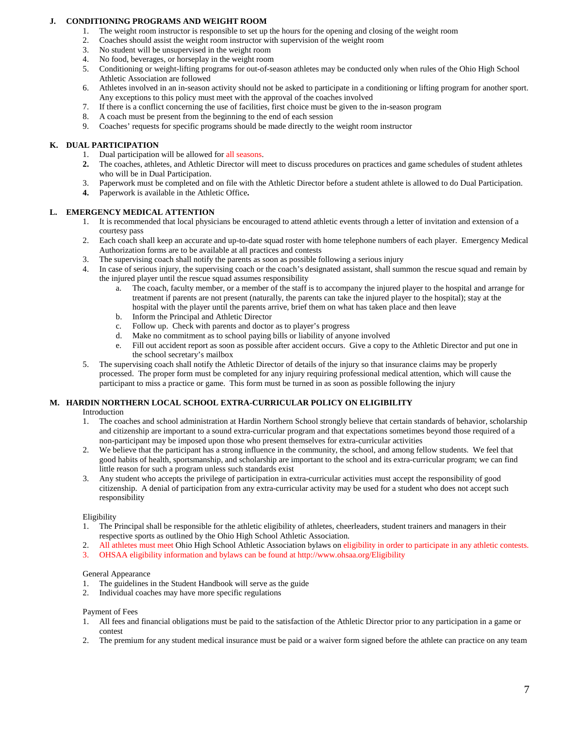## **J. CONDITIONING PROGRAMS AND WEIGHT ROOM**

- 1. The weight room instructor is responsible to set up the hours for the opening and closing of the weight room<br>2. Coaches should assist the weight room instructor with supervision of the weight room
- 2. Coaches should assist the weight room instructor with supervision of the weight room<br>3. No student will be unsupervised in the weight room
- 3. No student will be unsupervised in the weight room
- 4. No food, beverages, or horseplay in the weight room
- 5. Conditioning or weight-lifting programs for out-of-season athletes may be conducted only when rules of the Ohio High School Athletic Association are followed
- 6. Athletes involved in an in-season activity should not be asked to participate in a conditioning or lifting program for another sport. Any exceptions to this policy must meet with the approval of the coaches involved
- 7. If there is a conflict concerning the use of facilities, first choice must be given to the in-season program
- 8. A coach must be present from the beginning to the end of each session
- 9. Coaches' requests for specific programs should be made directly to the weight room instructor

#### **K. DUAL PARTICIPATION**

- 1. Dual participation will be allowed for all seasons.
- **2.** The coaches, athletes, and Athletic Director will meet to discuss procedures on practices and game schedules of student athletes who will be in Dual Participation.
- 3. Paperwork must be completed and on file with the Athletic Director before a student athlete is allowed to do Dual Participation.
- **4.** Paperwork is available in the Athletic Office**.**

#### **L. EMERGENCY MEDICAL ATTENTION**

- 1. It is recommended that local physicians be encouraged to attend athletic events through a letter of invitation and extension of a courtesy pass
- 2. Each coach shall keep an accurate and up-to-date squad roster with home telephone numbers of each player. Emergency Medical Authorization forms are to be available at all practices and contests
- 3. The supervising coach shall notify the parents as soon as possible following a serious injury
- 4. In case of serious injury, the supervising coach or the coach's designated assistant, shall summon the rescue squad and remain by the injured player until the rescue squad assumes responsibility
	- a. The coach, faculty member, or a member of the staff is to accompany the injured player to the hospital and arrange for treatment if parents are not present (naturally, the parents can take the injured player to the hospital); stay at the hospital with the player until the parents arrive, brief them on what has taken place and then leave
	- b. Inform the Principal and Athletic Director
	- c. Follow up. Check with parents and doctor as to player's progress
	- d. Make no commitment as to school paying bills or liability of anyone involved
	- e. Fill out accident report as soon as possible after accident occurs. Give a copy to the Athletic Director and put one in the school secretary's mailbox
- 5. The supervising coach shall notify the Athletic Director of details of the injury so that insurance claims may be properly processed. The proper form must be completed for any injury requiring professional medical attention, which will cause the participant to miss a practice or game. This form must be turned in as soon as possible following the injury

#### **M. HARDIN NORTHERN LOCAL SCHOOL EXTRA-CURRICULAR POLICY ON ELIGIBILITY**

Introduction

- 1. The coaches and school administration at Hardin Northern School strongly believe that certain standards of behavior, scholarship and citizenship are important to a sound extra-curricular program and that expectations sometimes beyond those required of a non-participant may be imposed upon those who present themselves for extra-curricular activities
- 2. We believe that the participant has a strong influence in the community, the school, and among fellow students. We feel that good habits of health, sportsmanship, and scholarship are important to the school and its extra-curricular program; we can find little reason for such a program unless such standards exist
- 3. Any student who accepts the privilege of participation in extra-curricular activities must accept the responsibility of good citizenship. A denial of participation from any extra-curricular activity may be used for a student who does not accept such responsibility

#### Eligibility

- 1. The Principal shall be responsible for the athletic eligibility of athletes, cheerleaders, student trainers and managers in their respective sports as outlined by the Ohio High School Athletic Association.
- 2. All athletes must meet Ohio High School Athletic Association bylaws on eligibility in order to participate in any athletic contests.
- 3. OHSAA eligibility information and bylaws can be found at http://www.ohsaa.org/Eligibility

#### General Appearance

- 1. The guidelines in the Student Handbook will serve as the guide
- 2. Individual coaches may have more specific regulations

#### Payment of Fees

- 1. All fees and financial obligations must be paid to the satisfaction of the Athletic Director prior to any participation in a game or contest
- 2. The premium for any student medical insurance must be paid or a waiver form signed before the athlete can practice on any team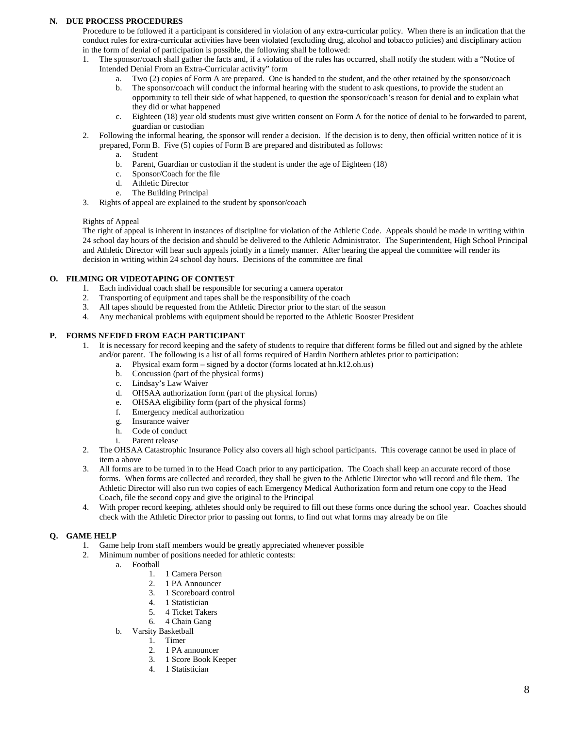## **N. DUE PROCESS PROCEDURES**

Procedure to be followed if a participant is considered in violation of any extra-curricular policy. When there is an indication that the conduct rules for extra-curricular activities have been violated (excluding drug, alcohol and tobacco policies) and disciplinary action in the form of denial of participation is possible, the following shall be followed:

- 1. The sponsor/coach shall gather the facts and, if a violation of the rules has occurred, shall notify the student with a "Notice of Intended Denial From an Extra-Curricular activity" form
	- a. Two (2) copies of Form A are prepared. One is handed to the student, and the other retained by the sponsor/coach
	- b. The sponsor/coach will conduct the informal hearing with the student to ask questions, to provide the student an opportunity to tell their side of what happened, to question the sponsor/coach's reason for denial and to explain what they did or what happened
	- c. Eighteen (18) year old students must give written consent on Form A for the notice of denial to be forwarded to parent, guardian or custodian
- 2. Following the informal hearing, the sponsor will render a decision. If the decision is to deny, then official written notice of it is prepared, Form B. Five (5) copies of Form B are prepared and distributed as follows:
	- a. Student
	- b. Parent, Guardian or custodian if the student is under the age of Eighteen (18)
	- c. Sponsor/Coach for the file
	- d. Athletic Director
	- e. The Building Principal
- 3. Rights of appeal are explained to the student by sponsor/coach

#### Rights of Appeal

The right of appeal is inherent in instances of discipline for violation of the Athletic Code. Appeals should be made in writing within 24 school day hours of the decision and should be delivered to the Athletic Administrator. The Superintendent, High School Principal and Athletic Director will hear such appeals jointly in a timely manner. After hearing the appeal the committee will render its decision in writing within 24 school day hours. Decisions of the committee are final

## **O. FILMING OR VIDEOTAPING OF CONTEST**

- 1. Each individual coach shall be responsible for securing a camera operator
- 2. Transporting of equipment and tapes shall be the responsibility of the coach
- 3. All tapes should be requested from the Athletic Director prior to the start of the season
- 4. Any mechanical problems with equipment should be reported to the Athletic Booster President

## **P. FORMS NEEDED FROM EACH PARTICIPANT**

- 1. It is necessary for record keeping and the safety of students to require that different forms be filled out and signed by the athlete and/or parent. The following is a list of all forms required of Hardin Northern athletes prior to participation:
	- a. Physical exam form signed by a doctor (forms located at hn.k12.oh.us)
		- b. Concussion (part of the physical forms)
		- b. Concussion (part of the<br>c. Lindsay's Law Waiver
		- d. OHSAA authorization form (part of the physical forms) e. OHSAA eligibility form (part of the physical forms)
		- e. OHSAA eligibility form (part of the physical forms)
		- Emergency medical authorization
		- g. Insurance waiver
		- h. Code of conduct
		- i. Parent release
- 2. The OHSAA Catastrophic Insurance Policy also covers all high school participants. This coverage cannot be used in place of item a above
- 3. All forms are to be turned in to the Head Coach prior to any participation. The Coach shall keep an accurate record of those forms. When forms are collected and recorded, they shall be given to the Athletic Director who will record and file them. The Athletic Director will also run two copies of each Emergency Medical Authorization form and return one copy to the Head Coach, file the second copy and give the original to the Principal
- 4. With proper record keeping, athletes should only be required to fill out these forms once during the school year. Coaches should check with the Athletic Director prior to passing out forms, to find out what forms may already be on file

# **Q. GAME HELP**

- 1. Game help from staff members would be greatly appreciated whenever possible
- 2. Minimum number of positions needed for athletic contests:
	- a. Football
		- 1. 1 Camera Person<br>2. 1 PA Announcer
			- 2. 1 PA Announcer
			- 3. 1 Scoreboard control
			- 4. 1 Statistician
			- 5. 4 Ticket Takers
			- 6. 4 Chain Gang
	- b. Varsity Basketball
		- 1. Timer
		- 2. 1 PA announcer
		- 3. 1 Score Book Keeper
		- 4. 1 Statistician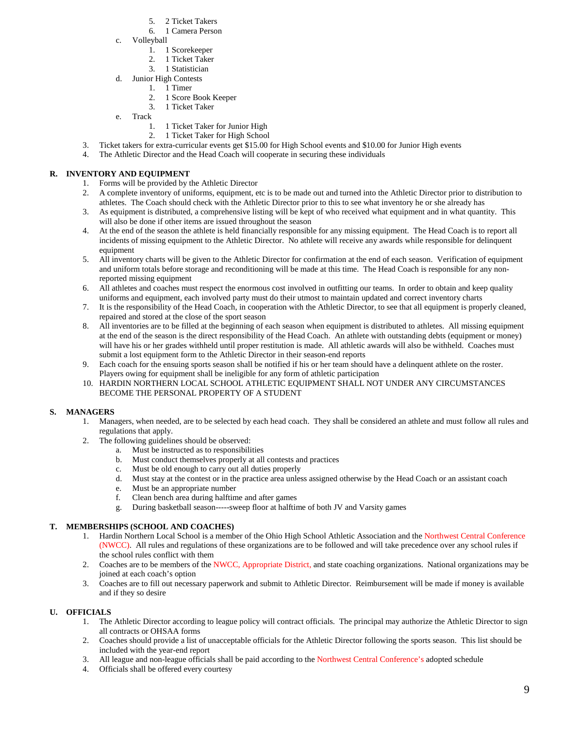- 5. 2 Ticket Takers
- 6. 1 Camera Person
- c. Volleyball
	- 1. 1 Scorekeeper
	- 2. 1 Ticket Taker
	- 3. 1 Statistician
- d. Junior High Contests
	- 1. 1 Timer
		- 2. 1 Score Book Keeper
	- 3. 1 Ticket Taker
- e. Track
	- 1. 1 Ticket Taker for Junior High
	- 2. 1 Ticket Taker for High School
- 3. Ticket takers for extra-curricular events get \$15.00 for High School events and \$10.00 for Junior High events
- 4. The Athletic Director and the Head Coach will cooperate in securing these individuals

# **R. INVENTORY AND EQUIPMENT**

- 1. Forms will be provided by the Athletic Director
- 2. A complete inventory of uniforms, equipment, etc is to be made out and turned into the Athletic Director prior to distribution to athletes. The Coach should check with the Athletic Director prior to this to see what inventory he or she already has
- 3. As equipment is distributed, a comprehensive listing will be kept of who received what equipment and in what quantity. This will also be done if other items are issued throughout the season
- 4. At the end of the season the athlete is held financially responsible for any missing equipment. The Head Coach is to report all incidents of missing equipment to the Athletic Director. No athlete will receive any awards while responsible for delinquent equipment
- 5. All inventory charts will be given to the Athletic Director for confirmation at the end of each season. Verification of equipment and uniform totals before storage and reconditioning will be made at this time. The Head Coach is responsible for any nonreported missing equipment
- 6. All athletes and coaches must respect the enormous cost involved in outfitting our teams. In order to obtain and keep quality uniforms and equipment, each involved party must do their utmost to maintain updated and correct inventory charts
- 7. It is the responsibility of the Head Coach, in cooperation with the Athletic Director, to see that all equipment is properly cleaned, repaired and stored at the close of the sport season
- 8. All inventories are to be filled at the beginning of each season when equipment is distributed to athletes. All missing equipment at the end of the season is the direct responsibility of the Head Coach. An athlete with outstanding debts (equipment or money) will have his or her grades withheld until proper restitution is made. All athletic awards will also be withheld. Coaches must submit a lost equipment form to the Athletic Director in their season-end reports
- 9. Each coach for the ensuing sports season shall be notified if his or her team should have a delinquent athlete on the roster. Players owing for equipment shall be ineligible for any form of athletic participation
- 10. HARDIN NORTHERN LOCAL SCHOOL ATHLETIC EQUIPMENT SHALL NOT UNDER ANY CIRCUMSTANCES BECOME THE PERSONAL PROPERTY OF A STUDENT

# **S. MANAGERS**

- 1. Managers, when needed, are to be selected by each head coach. They shall be considered an athlete and must follow all rules and regulations that apply.
- 2. The following guidelines should be observed:
	- a. Must be instructed as to responsibilities
		- b. Must conduct themselves properly at all contests and practices
		- c. Must be old enough to carry out all duties properly
		- d. Must stay at the contest or in the practice area unless assigned otherwise by the Head Coach or an assistant coach
		- e. Must be an appropriate number
		- f. Clean bench area during halftime and after games
		- g. During basketball season-----sweep floor at halftime of both JV and Varsity games

# **T. MEMBERSHIPS (SCHOOL AND COACHES)**

- 1. Hardin Northern Local School is a member of the Ohio High School Athletic Association and the Northwest Central Conference (NWCC). All rules and regulations of these organizations are to be followed and will take precedence over any school rules if the school rules conflict with them
- 2. Coaches are to be members of the NWCC, Appropriate District, and state coaching organizations. National organizations may be joined at each coach's option
- 3. Coaches are to fill out necessary paperwork and submit to Athletic Director. Reimbursement will be made if money is available and if they so desire

# **U. OFFICIALS**

- 1. The Athletic Director according to league policy will contract officials. The principal may authorize the Athletic Director to sign all contracts or OHSAA forms
- 2. Coaches should provide a list of unacceptable officials for the Athletic Director following the sports season. This list should be included with the year-end report
- 3. All league and non-league officials shall be paid according to the Northwest Central Conference's adopted schedule
- 4. Officials shall be offered every courtesy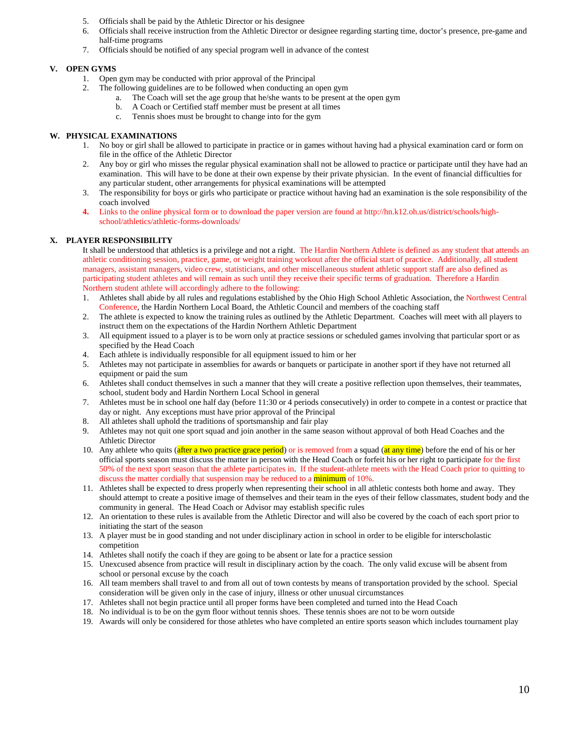- 5. Officials shall be paid by the Athletic Director or his designee
- 6. Officials shall receive instruction from the Athletic Director or designee regarding starting time, doctor's presence, pre-game and half-time programs
- 7. Officials should be notified of any special program well in advance of the contest

# **V. OPEN GYMS**

- 1. Open gym may be conducted with prior approval of the Principal
- 2. The following guidelines are to be followed when conducting an open gym
	- a. The Coach will set the age group that he/she wants to be present at the open gym
	- b. A Coach or Certified staff member must be present at all times
	- c. Tennis shoes must be brought to change into for the gym

# **W. PHYSICAL EXAMINATIONS**

- 1. No boy or girl shall be allowed to participate in practice or in games without having had a physical examination card or form on file in the office of the Athletic Director
- 2. Any boy or girl who misses the regular physical examination shall not be allowed to practice or participate until they have had an examination. This will have to be done at their own expense by their private physician. In the event of financial difficulties for any particular student, other arrangements for physical examinations will be attempted
- 3. The responsibility for boys or girls who participate or practice without having had an examination is the sole responsibility of the coach involved
- **4.** Links to the online physical form or to download the paper version are found at http://hn.k12.oh.us/district/schools/highschool/athletics/athletic-forms-downloads/

# **X. PLAYER RESPONSIBILITY**

It shall be understood that athletics is a privilege and not a right. The Hardin Northern Athlete is defined as any student that attends an athletic conditioning session, practice, game, or weight training workout after the official start of practice. Additionally, all student managers, assistant managers, video crew, statisticians, and other miscellaneous student athletic support staff are also defined as participating student athletes and will remain as such until they receive their specific terms of graduation. Therefore a Hardin Northern student athlete will accordingly adhere to the following:

- 1. Athletes shall abide by all rules and regulations established by the Ohio High School Athletic Association, the Northwest Central Conference, the Hardin Northern Local Board, the Athletic Council and members of the coaching staff
- 2. The athlete is expected to know the training rules as outlined by the Athletic Department. Coaches will meet with all players to instruct them on the expectations of the Hardin Northern Athletic Department
- 3. All equipment issued to a player is to be worn only at practice sessions or scheduled games involving that particular sport or as specified by the Head Coach
- 4. Each athlete is individually responsible for all equipment issued to him or her
- 5. Athletes may not participate in assemblies for awards or banquets or participate in another sport if they have not returned all equipment or paid the sum
- 6. Athletes shall conduct themselves in such a manner that they will create a positive reflection upon themselves, their teammates, school, student body and Hardin Northern Local School in general
- 7. Athletes must be in school one half day (before 11:30 or 4 periods consecutively) in order to compete in a contest or practice that day or night. Any exceptions must have prior approval of the Principal
- 8. All athletes shall uphold the traditions of sportsmanship and fair play
- 9. Athletes may not quit one sport squad and join another in the same season without approval of both Head Coaches and the Athletic Director
- 10. Any athlete who quits (after a two practice grace period) or is removed from a squad (at any time) before the end of his or her official sports season must discuss the matter in person with the Head Coach or forfeit his or her right to participate for the first 50% of the next sport season that the athlete participates in. If the student-athlete meets with the Head Coach prior to quitting to discuss the matter cordially that suspension may be reduced to a minimum of 10%.
- 11. Athletes shall be expected to dress properly when representing their school in all athletic contests both home and away. They should attempt to create a positive image of themselves and their team in the eyes of their fellow classmates, student body and the community in general. The Head Coach or Advisor may establish specific rules
- 12. An orientation to these rules is available from the Athletic Director and will also be covered by the coach of each sport prior to initiating the start of the season
- 13. A player must be in good standing and not under disciplinary action in school in order to be eligible for interscholastic competition
- 14. Athletes shall notify the coach if they are going to be absent or late for a practice session
- 15. Unexcused absence from practice will result in disciplinary action by the coach. The only valid excuse will be absent from school or personal excuse by the coach
- 16. All team members shall travel to and from all out of town contests by means of transportation provided by the school. Special consideration will be given only in the case of injury, illness or other unusual circumstances
- 17. Athletes shall not begin practice until all proper forms have been completed and turned into the Head Coach
- 18. No individual is to be on the gym floor without tennis shoes. These tennis shoes are not to be worn outside
- 19. Awards will only be considered for those athletes who have completed an entire sports season which includes tournament play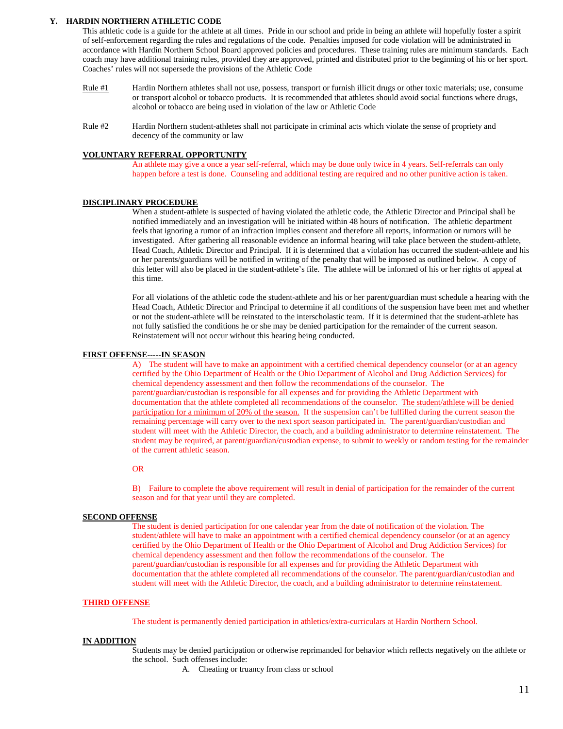#### **Y. HARDIN NORTHERN ATHLETIC CODE**

This athletic code is a guide for the athlete at all times. Pride in our school and pride in being an athlete will hopefully foster a spirit of self-enforcement regarding the rules and regulations of the code. Penalties imposed for code violation will be administrated in accordance with Hardin Northern School Board approved policies and procedures. These training rules are minimum standards. Each coach may have additional training rules, provided they are approved, printed and distributed prior to the beginning of his or her sport. Coaches' rules will not supersede the provisions of the Athletic Code

- Rule #1 Hardin Northern athletes shall not use, possess, transport or furnish illicit drugs or other toxic materials; use, consume or transport alcohol or tobacco products. It is recommended that athletes should avoid social functions where drugs, alcohol or tobacco are being used in violation of the law or Athletic Code
- Rule #2 Hardin Northern student-athletes shall not participate in criminal acts which violate the sense of propriety and decency of the community or law

#### **VOLUNTARY REFERRAL OPPORTUNITY**

An athlete may give a once a year self-referral, which may be done only twice in 4 years. Self-referrals can only happen before a test is done. Counseling and additional testing are required and no other punitive action is taken.

## **DISCIPLINARY PROCEDURE**

When a student-athlete is suspected of having violated the athletic code, the Athletic Director and Principal shall be notified immediately and an investigation will be initiated within 48 hours of notification. The athletic department feels that ignoring a rumor of an infraction implies consent and therefore all reports, information or rumors will be investigated. After gathering all reasonable evidence an informal hearing will take place between the student-athlete, Head Coach, Athletic Director and Principal. If it is determined that a violation has occurred the student-athlete and his or her parents/guardians will be notified in writing of the penalty that will be imposed as outlined below. A copy of this letter will also be placed in the student-athlete's file. The athlete will be informed of his or her rights of appeal at this time.

For all violations of the athletic code the student-athlete and his or her parent/guardian must schedule a hearing with the Head Coach, Athletic Director and Principal to determine if all conditions of the suspension have been met and whether or not the student-athlete will be reinstated to the interscholastic team. If it is determined that the student-athlete has not fully satisfied the conditions he or she may be denied participation for the remainder of the current season. Reinstatement will not occur without this hearing being conducted.

#### **FIRST OFFENSE-----IN SEASON**

A) The student will have to make an appointment with a certified chemical dependency counselor (or at an agency certified by the Ohio Department of Health or the Ohio Department of Alcohol and Drug Addiction Services) for chemical dependency assessment and then follow the recommendations of the counselor. The parent/guardian/custodian is responsible for all expenses and for providing the Athletic Department with documentation that the athlete completed all recommendations of the counselor. The student/athlete will be denied participation for a minimum of 20% of the season. If the suspension can't be fulfilled during the current season the remaining percentage will carry over to the next sport season participated in. The parent/guardian/custodian and student will meet with the Athletic Director, the coach, and a building administrator to determine reinstatement. The student may be required, at parent/guardian/custodian expense, to submit to weekly or random testing for the remainder of the current athletic season.

#### OR

B) Failure to complete the above requirement will result in denial of participation for the remainder of the current season and for that year until they are completed.

#### **SECOND OFFENSE**

The student is denied participation for one calendar year from the date of notification of the violation*.* The student/athlete will have to make an appointment with a certified chemical dependency counselor (or at an agency certified by the Ohio Department of Health or the Ohio Department of Alcohol and Drug Addiction Services) for chemical dependency assessment and then follow the recommendations of the counselor. The parent/guardian/custodian is responsible for all expenses and for providing the Athletic Department with documentation that the athlete completed all recommendations of the counselor. The parent/guardian/custodian and student will meet with the Athletic Director, the coach, and a building administrator to determine reinstatement.

#### **THIRD OFFENSE**

The student is permanently denied participation in athletics/extra-curriculars at Hardin Northern School.

#### **IN ADDITION**

Students may be denied participation or otherwise reprimanded for behavior which reflects negatively on the athlete or the school. Such offenses include:

A. Cheating or truancy from class or school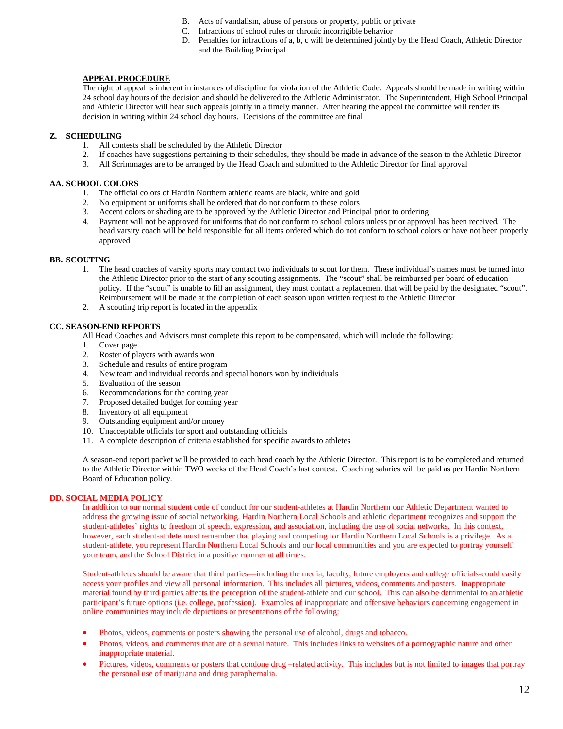- B. Acts of vandalism, abuse of persons or property, public or private
- C. Infractions of school rules or chronic incorrigible behavior
- D. Penalties for infractions of a, b, c will be determined jointly by the Head Coach, Athletic Director and the Building Principal

# **APPEAL PROCEDURE**

The right of appeal is inherent in instances of discipline for violation of the Athletic Code. Appeals should be made in writing within 24 school day hours of the decision and should be delivered to the Athletic Administrator. The Superintendent, High School Principal and Athletic Director will hear such appeals jointly in a timely manner. After hearing the appeal the committee will render its decision in writing within 24 school day hours. Decisions of the committee are final

## **Z. SCHEDULING**

- 1. All contests shall be scheduled by the Athletic Director
- 2. If coaches have suggestions pertaining to their schedules, they should be made in advance of the season to the Athletic Director
- 3. All Scrimmages are to be arranged by the Head Coach and submitted to the Athletic Director for final approval

# **AA. SCHOOL COLORS**

- 1. The official colors of Hardin Northern athletic teams are black, white and gold
- 2. No equipment or uniforms shall be ordered that do not conform to these colors
- 3. Accent colors or shading are to be approved by the Athletic Director and Principal prior to ordering
- 4. Payment will not be approved for uniforms that do not conform to school colors unless prior approval has been received. The head varsity coach will be held responsible for all items ordered which do not conform to school colors or have not been properly approved

## **BB. SCOUTING**

- 1. The head coaches of varsity sports may contact two individuals to scout for them. These individual's names must be turned into the Athletic Director prior to the start of any scouting assignments. The "scout" shall be reimbursed per board of education policy. If the "scout" is unable to fill an assignment, they must contact a replacement that will be paid by the designated "scout". Reimbursement will be made at the completion of each season upon written request to the Athletic Director
- 2. A scouting trip report is located in the appendix

# **CC. SEASON-END REPORTS**

All Head Coaches and Advisors must complete this report to be compensated, which will include the following:

- 1. Cover page
- 2. Roster of players with awards won
- 3. Schedule and results of entire program
- 4. New team and individual records and special honors won by individuals
- 5. Evaluation of the season
- 6. Recommendations for the coming year
- 7. Proposed detailed budget for coming year
- 8. Inventory of all equipment
- 9. Outstanding equipment and/or money
- 10. Unacceptable officials for sport and outstanding officials
- 11. A complete description of criteria established for specific awards to athletes

A season-end report packet will be provided to each head coach by the Athletic Director. This report is to be completed and returned to the Athletic Director within TWO weeks of the Head Coach's last contest. Coaching salaries will be paid as per Hardin Northern Board of Education policy.

## **DD. SOCIAL MEDIA POLICY**

In addition to our normal student code of conduct for our student-athletes at Hardin Northern our Athletic Department wanted to address the growing issue of social networking. Hardin Northern Local Schools and athletic department recognizes and support the student-athletes' rights to freedom of speech, expression, and association, including the use of social networks. In this context, however, each student-athlete must remember that playing and competing for Hardin Northern Local Schools is a privilege. As a student-athlete, you represent Hardin Northern Local Schools and our local communities and you are expected to portray yourself, your team, and the School District in a positive manner at all times.

Student-athletes should be aware that third parties—including the media, faculty, future employers and college officials-could easily access your profiles and view all personal information. This includes all pictures, videos, comments and posters. Inappropriate material found by third parties affects the perception of the student-athlete and our school. This can also be detrimental to an athletic participant's future options (i.e. college, profession). Examples of inappropriate and offensive behaviors concerning engagement in online communities may include depictions or presentations of the following:

- Photos, videos, comments or posters showing the personal use of alcohol, drugs and tobacco.
- Photos, videos, and comments that are of a sexual nature. This includes links to websites of a pornographic nature and other inappropriate material.
- Pictures, videos, comments or posters that condone drug –related activity. This includes but is not limited to images that portray the personal use of marijuana and drug paraphernalia.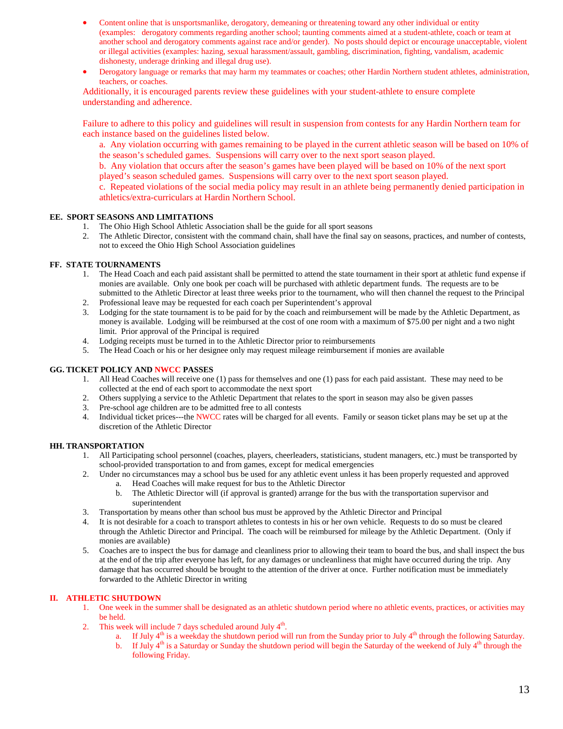- Content online that is unsportsmanlike, derogatory, demeaning or threatening toward any other individual or entity (examples: derogatory comments regarding another school; taunting comments aimed at a student-athlete, coach or team at another school and derogatory comments against race and/or gender). No posts should depict or encourage unacceptable, violent or illegal activities (examples: hazing, sexual harassment/assault, gambling, discrimination, fighting, vandalism, academic dishonesty, underage drinking and illegal drug use).
- Derogatory language or remarks that may harm my teammates or coaches; other Hardin Northern student athletes, administration, teachers, or coaches.

Additionally, it is encouraged parents review these guidelines with your student-athlete to ensure complete understanding and adherence.

Failure to adhere to this policy and guidelines will result in suspension from contests for any Hardin Northern team for each instance based on the guidelines listed below.

a. Any violation occurring with games remaining to be played in the current athletic season will be based on 10% of the season's scheduled games. Suspensions will carry over to the next sport season played.

b. Any violation that occurs after the season's games have been played will be based on 10% of the next sport played's season scheduled games. Suspensions will carry over to the next sport season played.

c. Repeated violations of the social media policy may result in an athlete being permanently denied participation in athletics/extra-curriculars at Hardin Northern School.

# **EE. SPORT SEASONS AND LIMITATIONS**

- 1. The Ohio High School Athletic Association shall be the guide for all sport seasons
- 2. The Athletic Director, consistent with the command chain, shall have the final say on seasons, practices, and number of contests, not to exceed the Ohio High School Association guidelines

# **FF. STATE TOURNAMENTS**

- 1. The Head Coach and each paid assistant shall be permitted to attend the state tournament in their sport at athletic fund expense if monies are available. Only one book per coach will be purchased with athletic department funds. The requests are to be submitted to the Athletic Director at least three weeks prior to the tournament, who will then channel the request to the Principal
- 2. Professional leave may be requested for each coach per Superintendent's approval
- 3. Lodging for the state tournament is to be paid for by the coach and reimbursement will be made by the Athletic Department, as money is available. Lodging will be reimbursed at the cost of one room with a maximum of \$75.00 per night and a two night limit. Prior approval of the Principal is required
- 4. Lodging receipts must be turned in to the Athletic Director prior to reimbursements
- 5. The Head Coach or his or her designee only may request mileage reimbursement if monies are available

## **GG. TICKET POLICY AND NWCC PASSES**

- 1. All Head Coaches will receive one (1) pass for themselves and one (1) pass for each paid assistant. These may need to be collected at the end of each sport to accommodate the next sport
- 2. Others supplying a service to the Athletic Department that relates to the sport in season may also be given passes
- 3. Pre-school age children are to be admitted free to all contests
- 4. Individual ticket prices---the NWCC rates will be charged for all events. Family or season ticket plans may be set up at the discretion of the Athletic Director

# **HH. TRANSPORTATION**

- 1. All Participating school personnel (coaches, players, cheerleaders, statisticians, student managers, etc.) must be transported by school-provided transportation to and from games, except for medical emergencies
- 2. Under no circumstances may a school bus be used for any athletic event unless it has been properly requested and approved a. Head Coaches will make request for bus to the Athletic Director
	- b. The Athletic Director will (if approval is granted) arrange for the bus with the transportation supervisor and superintendent
- 3. Transportation by means other than school bus must be approved by the Athletic Director and Principal
- 4. It is not desirable for a coach to transport athletes to contests in his or her own vehicle. Requests to do so must be cleared through the Athletic Director and Principal. The coach will be reimbursed for mileage by the Athletic Department. (Only if monies are available)
- 5. Coaches are to inspect the bus for damage and cleanliness prior to allowing their team to board the bus, and shall inspect the bus at the end of the trip after everyone has left, for any damages or uncleanliness that might have occurred during the trip. Any damage that has occurred should be brought to the attention of the driver at once. Further notification must be immediately forwarded to the Athletic Director in writing

# **II. ATHLETIC SHUTDOWN**

- 1. One week in the summer shall be designated as an athletic shutdown period where no athletic events, practices, or activities may be held.
- 2. This week will include 7 days scheduled around July  $4<sup>th</sup>$ .
	- a. If July  $4<sup>th</sup>$  is a weekday the shutdown period will run from the Sunday prior to July  $4<sup>th</sup>$  through the following Saturday.<br>b. If July  $4<sup>th</sup>$  is a Saturday or Sunday the shutdown period will begin the Sat
	- If July  $4<sup>th</sup>$  is a Saturday or Sunday the shutdown period will begin the Saturday of the weekend of July  $4<sup>th</sup>$  through the following Friday.